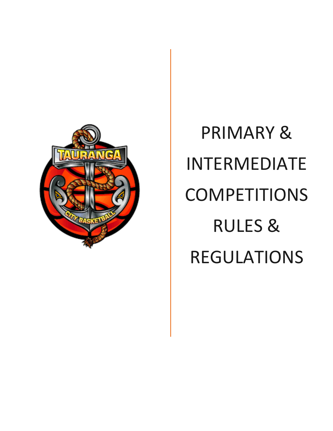

# PRIMARY & INTERMEDIATE COMPETITIONS RULES & REGULATIONS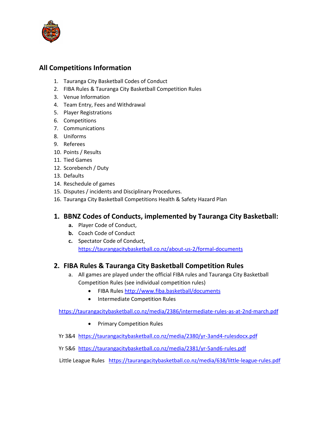

#### **All Competitions Information**

- 1. Tauranga City Basketball Codes of Conduct
- 2. FIBA Rules & Tauranga City Basketball Competition Rules
- 3. Venue Information
- 4. Team Entry, Fees and Withdrawal
- 5. Player Registrations
- 6. Competitions
- 7. Communications
- 8. Uniforms
- 9. Referees
- 10. Points / Results
- 11. Tied Games
- 12. Scorebench / Duty
- 13. Defaults
- 14. Reschedule of games
- 15. Disputes / incidents and Disciplinary Procedures.
- 16. Tauranga City Basketball Competitions Health & Safety Hazard Plan

#### **1. BBNZ Codes of Conducts, implemented by Tauranga City Basketball:**

- **a.** Player Code of Conduct,
- **b.** Coach Code of Conduct
- **c.** Spectator Code of Conduct, <https://taurangacitybasketball.co.nz/about-us-2/formal-documents>

#### **2. FIBA Rules & Tauranga City Basketball Competition Rules**

- a. All games are played under the official FIBA rules and Tauranga City Basketball Competition Rules (see individual competition rules)
	- FIBA Rules<http://www.fiba.basketball/documents>
	- Intermediate Competition Rules

<https://taurangacitybasketball.co.nz/media/2386/intermediate-rules-as-at-2nd-march.pdf>

- Primary Competition Rules
- Yr 3&4 <https://taurangacitybasketball.co.nz/media/2380/yr-3and4-rulesdocx.pdf>
- Yr 5&6 <https://taurangacitybasketball.co.nz/media/2381/yr-5and6-rules.pdf>

Little League Rules <https://taurangacitybasketball.co.nz/media/638/little-league-rules.pdf>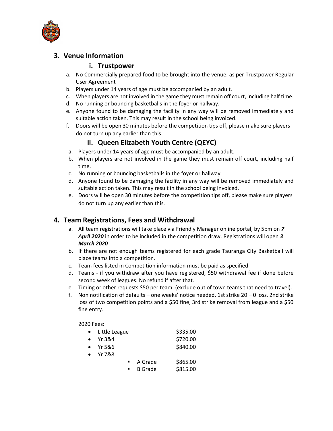

#### **3. Venue Information**

#### **i. Trustpower**

- a. No Commercially prepared food to be brought into the venue, as per Trustpower Regular User Agreement
- b. Players under 14 years of age must be accompanied by an adult.
- c. When players are not involved in the game they must remain off court, including half time.
- d. No running or bouncing basketballs in the foyer or hallway.
- e. Anyone found to be damaging the facility in any way will be removed immediately and suitable action taken. This may result in the school being invoiced.
- f. Doors will be open 30 minutes before the competition tips off, please make sure players do not turn up any earlier than this.

#### **ii. Queen Elizabeth Youth Centre (QEYC)**

- a. Players under 14 years of age must be accompanied by an adult.
- b. When players are not involved in the game they must remain off court, including half time.
- c. No running or bouncing basketballs in the foyer or hallway.
- d. Anyone found to be damaging the facility in any way will be removed immediately and suitable action taken. This may result in the school being invoiced.
- e. Doors will be open 30 minutes before the competition tips off, please make sure players do not turn up any earlier than this.

#### **4. Team Registrations, Fees and Withdrawal**

- a. All team registrations will take place via Friendly Manager online portal, by 5pm on *7 April 2020* in order to be included in the competition draw. Registrations will open *3 March 2020*
- b. If there are not enough teams registered for each grade Tauranga City Basketball will place teams into a competition.
- c. Team fees listed in Competition information must be paid as specified
- d. Teams if you withdraw after you have registered, \$50 withdrawal fee if done before second week of leagues. No refund if after that.
- e. Timing or other requests \$50 per team. (exclude out of town teams that need to travel).
- f. Non notification of defaults one weeks' notice needed, 1st strike 20 0 loss, 2nd strike loss of two competition points and a \$50 fine, 3rd strike removal from league and a \$50 fine entry.

#### 2020 Fees:

| $\bullet$ | Little League    |                | \$335.00 |
|-----------|------------------|----------------|----------|
|           | Yr 3&4           |                | \$720.00 |
|           | $\bullet$ Yr 5&6 |                | \$840.00 |
|           | $\bullet$ Yr 7&8 |                |          |
|           |                  | A Grade        | \$865.00 |
|           |                  | <b>B</b> Grade | \$815.00 |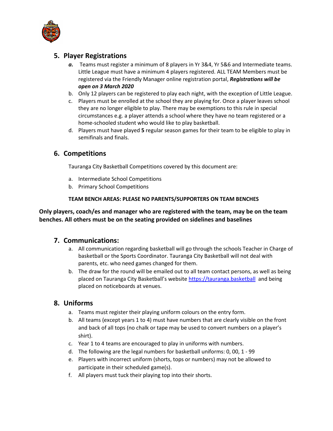

#### **5. Player Registrations**

- *a.* Teams must register a minimum of 8 players in Yr 3&4, Yr 5&6 and Intermediate teams. Little League must have a minimum 4 players registered. ALL TEAM Members must be registered via the Friendly Manager online registration portal, *Registrations will be open on 3 March 2020*
- b. Only 12 players can be registered to play each night, with the exception of Little League.
- c. Players must be enrolled at the school they are playing for. Once a player leaves school they are no longer eligible to play. There may be exemptions to this rule in special circumstances e.g. a player attends a school where they have no team registered or a home-schooled student who would like to play basketball.
- d. Players must have played **5** regular season games for their team to be eligible to play in semifinals and finals.

#### **6. Competitions**

Tauranga City Basketball Competitions covered by this document are:

- a. Intermediate School Competitions
- b. Primary School Competitions

#### **TEAM BENCH AREAS: PLEASE NO PARENTS/SUPPORTERS ON TEAM BENCHES**

**Only players, coach/es and manager who are registered with the team, may be on the team benches. All others must be on the seating provided on sidelines and baselines**

#### **7. Communications:**

- a. All communication regarding basketball will go through the schools Teacher in Charge of basketball or the Sports Coordinator. Tauranga City Basketball will not deal with parents, etc. who need games changed for them.
- b. The draw for the round will be emailed out to all team contact persons, as well as being placed on Tauranga City Basketball's websit[e https://tauranga.basketball](https://tauranga.basketball/) and being placed on noticeboards at venues.

#### **8. Uniforms**

- a. Teams must register their playing uniform colours on the entry form.
- b. All teams (except years 1 to 4) must have numbers that are clearly visible on the front and back of all tops (no chalk or tape may be used to convert numbers on a player's shirt).
- c. Year 1 to 4 teams are encouraged to play in uniforms with numbers.
- d. The following are the legal numbers for basketball uniforms: 0, 00, 1 99
- e. Players with incorrect uniform (shorts, tops or numbers) may not be allowed to participate in their scheduled game(s).
- f. All players must tuck their playing top into their shorts.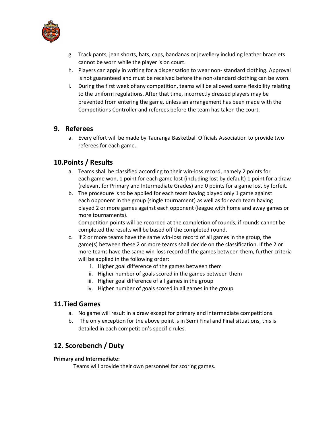

- g. Track pants, jean shorts, hats, caps, bandanas or jewellery including leather bracelets cannot be worn while the player is on court.
- h. Players can apply in writing for a dispensation to wear non- standard clothing. Approval is not guaranteed and must be received before the non-standard clothing can be worn.
- i. During the first week of any competition, teams will be allowed some flexibility relating to the uniform regulations. After that time, incorrectly dressed players may be prevented from entering the game, unless an arrangement has been made with the Competitions Controller and referees before the team has taken the court.

#### **9. Referees**

a. Every effort will be made by Tauranga Basketball Officials Association to provide two referees for each game.

#### **10.Points / Results**

- a. Teams shall be classified according to their win-loss record, namely 2 points for each game won, 1 point for each game lost (including lost by default) 1 point for a draw (relevant for Primary and Intermediate Grades) and 0 points for a game lost by forfeit.
- b. The procedure is to be applied for each team having played only 1 game against each opponent in the group (single tournament) as well as for each team having played 2 or more games against each opponent (league with home and away games or more tournaments).

Competition points will be recorded at the completion of rounds, if rounds cannot be completed the results will be based off the completed round.

- c. If 2 or more teams have the same win-loss record of all games in the group, the game(s) between these 2 or more teams shall decide on the classification. If the 2 or more teams have the same win-loss record of the games between them, further criteria will be applied in the following order:
	- i. Higher goal difference of the games between them
	- ii. Higher number of goals scored in the games between them
	- iii. Higher goal difference of all games in the group
	- iv. Higher number of goals scored in all games in the group

#### **11.Tied Games**

- a. No game will result in a draw except for primary and intermediate competitions.
- b. The only exception for the above point is in Semi Final and Final situations, this is detailed in each competition's specific rules.

#### **12. Scorebench / Duty**

#### **Primary and Intermediate:**

Teams will provide their own personnel for scoring games.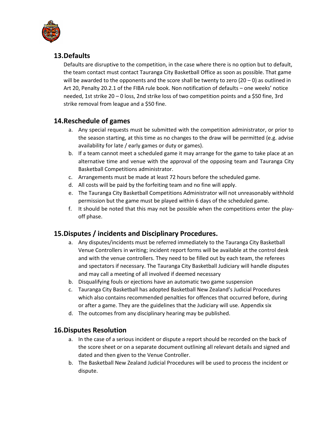

#### **13.Defaults**

Defaults are disruptive to the competition, in the case where there is no option but to default, the team contact must contact Tauranga City Basketball Office as soon as possible. That game will be awarded to the opponents and the score shall be twenty to zero  $(20 - 0)$  as outlined in Art 20, Penalty 20.2.1 of the FIBA rule book. Non notification of defaults – one weeks' notice needed, 1st strike 20 – 0 loss, 2nd strike loss of two competition points and a \$50 fine, 3rd strike removal from league and a \$50 fine.

#### **14.Reschedule of games**

- a. Any special requests must be submitted with the competition administrator, or prior to the season starting, at this time as no changes to the draw will be permitted (e.g. advise availability for late / early games or duty or games).
- b. If a team cannot meet a scheduled game it may arrange for the game to take place at an alternative time and venue with the approval of the opposing team and Tauranga City Basketball Competitions administrator.
- c. Arrangements must be made at least 72 hours before the scheduled game.
- d. All costs will be paid by the forfeiting team and no fine will apply.
- e. The Tauranga City Basketball Competitions Administrator will not unreasonably withhold permission but the game must be played within 6 days of the scheduled game.
- f. It should be noted that this may not be possible when the competitions enter the playoff phase.

#### **15.Disputes / incidents and Disciplinary Procedures.**

- a. Any disputes/incidents must be referred immediately to the Tauranga City Basketball Venue Controllers in writing; incident report forms will be available at the control desk and with the venue controllers. They need to be filled out by each team, the referees and spectators if necessary. The Tauranga City Basketball Judiciary will handle disputes and may call a meeting of all involved if deemed necessary
- b. Disqualifying fouls or ejections have an automatic two game suspension
- c. Tauranga City Basketball has adopted Basketball New Zealand's Judicial Procedures which also contains recommended penalties for offences that occurred before, during or after a game. They are the guidelines that the Judiciary will use. Appendix six
- d. The outcomes from any disciplinary hearing may be published.

#### **16.Disputes Resolution**

- a. In the case of a serious incident or dispute a report should be recorded on the back of the score sheet or on a separate document outlining all relevant details and signed and dated and then given to the Venue Controller.
- b. The Basketball New Zealand Judicial Procedures will be used to process the incident or dispute.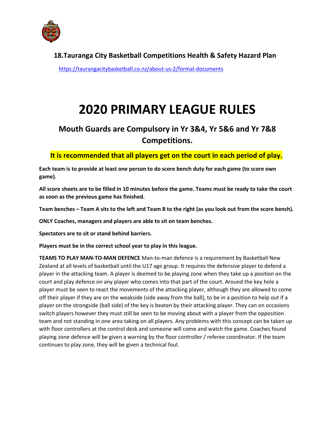

**18.Tauranga City Basketball Competitions Health & Safety Hazard Plan** 

<https://taurangacitybasketball.co.nz/about-us-2/formal-documents>

# **2020 PRIMARY LEAGUE RULES**

# **Mouth Guards are Compulsory in Yr 3&4, Yr 5&6 and Yr 7&8 Competitions.**

#### **It is recommended that all players get on the court in each period of play.**

**Each team is to provide at least one person to do score bench duty for each game (to score own game).**

**All score sheets are to be filled in 10 minutes before the game. Teams must be ready to take the court as soon as the previous game has finished.**

**Team benches – Team A sits to the left and Team B to the right (as you look out from the score bench).** 

**ONLY Coaches, managers and players are able to sit on team benches.** 

**Spectators are to sit or stand behind barriers.**

**Players must be in the correct school year to play in this league.**

**TEAMS TO PLAY MAN-TO-MAN DEFENCE** Man-to-man defence is a requirement by Basketball New Zealand at all levels of basketball until the U17 age group. It requires the defensive player to defend a player in the attacking team. A player is deemed to be playing zone when they take up a position on the court and play defence on any player who comes into that part of the court. Around the key hole a player must be seen to react the movements of the attacking player, although they are allowed to come off their player if they are on the weakside (side away from the ball), to be in a position to help out if a player on the strongside (ball side) of the key is beaten by their attacking player. They can on occasions switch players however they must still be seen to be moving about with a player from the opposition team and not standing in one area taking on all players. Any problems with this concept can be taken up with floor controllers at the control desk and someone will come and watch the game. Coaches found playing zone defence will be given a warning by the floor controller / referee coordinator. If the team continues to play zone, they will be given a technical foul.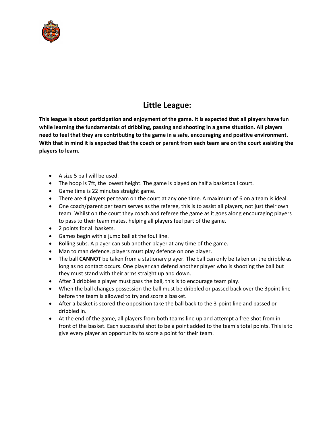

# **Little League:**

**This league is about participation and enjoyment of the game. It is expected that all players have fun while learning the fundamentals of dribbling, passing and shooting in a game situation. All players need to feel that they are contributing to the game in a safe, encouraging and positive environment. With that in mind it is expected that the coach or parent from each team are on the court assisting the players to learn.**

- A size 5 ball will be used.
- The hoop is 7ft, the lowest height. The game is played on half a basketball court.
- Game time is 22 minutes straight game.
- There are 4 players per team on the court at any one time. A maximum of 6 on a team is ideal.
- One coach/parent per team serves as the referee, this is to assist all players, not just their own team. Whilst on the court they coach and referee the game as it goes along encouraging players to pass to their team mates, helping all players feel part of the game.
- 2 points for all baskets.
- Games begin with a jump ball at the foul line.
- Rolling subs. A player can sub another player at any time of the game.
- Man to man defence, players must play defence on one player.
- The ball **CANNOT** be taken from a stationary player. The ball can only be taken on the dribble as long as no contact occurs. One player can defend another player who is shooting the ball but they must stand with their arms straight up and down.
- After 3 dribbles a player must pass the ball, this is to encourage team play.
- When the ball changes possession the ball must be dribbled or passed back over the 3point line before the team is allowed to try and score a basket.
- After a basket is scored the opposition take the ball back to the 3-point line and passed or dribbled in.
- At the end of the game, all players from both teams line up and attempt a free shot from in front of the basket. Each successful shot to be a point added to the team's total points. This is to give every player an opportunity to score a point for their team.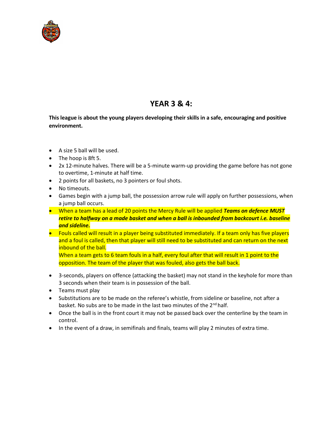

## **YEAR 3 & 4:**

**This league is about the young players developing their skills in a safe, encouraging and positive environment.** 

- A size 5 ball will be used.
- The hoop is 8ft 5.
- 2x 12-minute halves. There will be a 5-minute warm-up providing the game before has not gone to overtime, 1-minute at half time.
- 2 points for all baskets, no 3 pointers or foul shots.
- No timeouts.
- Games begin with a jump ball, the possession arrow rule will apply on further possessions, when a jump ball occurs.
- When a team has a lead of 20 points the Mercy Rule will be applied *Teams on defence MUST retire to halfway on a made basket and when a ball is inbounded from backcourt i.e. baseline and sideline.*
- Fouls called will result in a player being substituted immediately. If a team only has five players and a foul is called, then that player will still need to be substituted and can return on the next inbound of the ball.

When a team gets to 6 team fouls in a half, every foul after that will result in 1 point to the opposition. The team of the player that was fouled, also gets the ball back.

- 3-seconds, players on offence (attacking the basket) may not stand in the keyhole for more than 3 seconds when their team is in possession of the ball.
- Teams must play
- Substitutions are to be made on the referee's whistle, from sideline or baseline, not after a basket. No subs are to be made in the last two minutes of the 2<sup>nd</sup> half.
- Once the ball is in the front court it may not be passed back over the centerline by the team in control.
- In the event of a draw, in semifinals and finals, teams will play 2 minutes of extra time.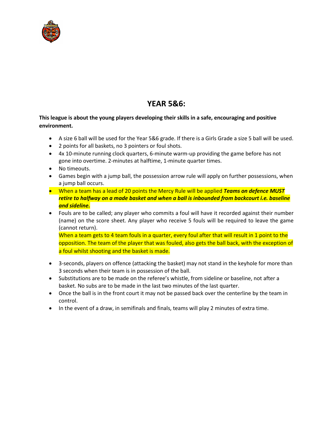

# **YEAR 5&6:**

#### **This league is about the young players developing their skills in a safe, encouraging and positive environment.**

- A size 6 ball will be used for the Year 5&6 grade. If there is a Girls Grade a size 5 ball will be used.
- 2 points for all baskets, no 3 pointers or foul shots.
- 4x 10-minute running clock quarters, 6-minute warm-up providing the game before has not gone into overtime. 2-minutes at halftime, 1-minute quarter times.
- No timeouts.
- Games begin with a jump ball, the possession arrow rule will apply on further possessions, when a jump ball occurs.
- When a team has a lead of 20 points the Mercy Rule will be applied *Teams on defence MUST retire to halfway on a made basket and when a ball is inbounded from backcourt i.e. baseline and sideline.*
- Fouls are to be called; any player who commits a foul will have it recorded against their number (name) on the score sheet. Any player who receive 5 fouls will be required to leave the game (cannot return).

When a team gets to 4 team fouls in a quarter, every foul after that will result in 1 point to the opposition. The team of the player that was fouled, also gets the ball back, with the exception of a foul whilst shooting and the basket is made.

- 3-seconds, players on offence (attacking the basket) may not stand in the keyhole for more than 3 seconds when their team is in possession of the ball.
- Substitutions are to be made on the referee's whistle, from sideline or baseline, not after a basket. No subs are to be made in the last two minutes of the last quarter.
- Once the ball is in the front court it may not be passed back over the centerline by the team in control.
- In the event of a draw, in semifinals and finals, teams will play 2 minutes of extra time.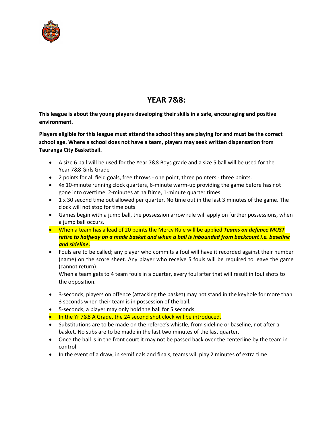

# **YEAR 7&8:**

**This league is about the young players developing their skills in a safe, encouraging and positive environment.** 

**Players eligible for this league must attend the school they are playing for and must be the correct school age. Where a school does not have a team, players may seek written dispensation from Tauranga City Basketball.**

- A size 6 ball will be used for the Year 7&8 Boys grade and a size 5 ball will be used for the Year 7&8 Girls Grade
- 2 points for all field goals, free throws one point, three pointers three points.
- 4x 10-minute running clock quarters, 6-minute warm-up providing the game before has not gone into overtime. 2-minutes at halftime, 1-minute quarter times.
- 1 x 30 second time out allowed per quarter. No time out in the last 3 minutes of the game. The clock will not stop for time outs.
- Games begin with a jump ball, the possession arrow rule will apply on further possessions, when a jump ball occurs.
- When a team has a lead of 20 points the Mercy Rule will be applied *Teams on defence MUST retire to halfway on a made basket and when a ball is inbounded from backcourt i.e. baseline and sideline.*
- Fouls are to be called; any player who commits a foul will have it recorded against their number (name) on the score sheet. Any player who receive 5 fouls will be required to leave the game (cannot return).

When a team gets to 4 team fouls in a quarter, every foul after that will result in foul shots to the opposition.

- 3-seconds, players on offence (attacking the basket) may not stand in the keyhole for more than 3 seconds when their team is in possession of the ball.
- 5-seconds, a player may only hold the ball for 5 seconds.
- In the Yr 7&8 A Grade, the 24 second shot clock will be introduced.
- Substitutions are to be made on the referee's whistle, from sideline or baseline, not after a basket. No subs are to be made in the last two minutes of the last quarter.
- Once the ball is in the front court it may not be passed back over the centerline by the team in control.
- In the event of a draw, in semifinals and finals, teams will play 2 minutes of extra time.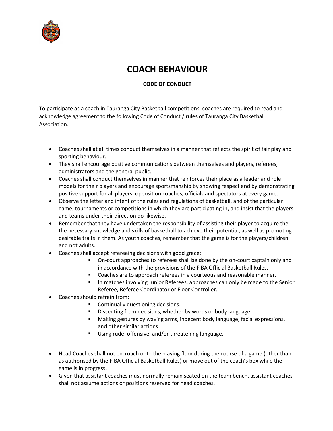

# **COACH BEHAVIOUR**

#### **CODE OF CONDUCT**

To participate as a coach in Tauranga City Basketball competitions, coaches are required to read and acknowledge agreement to the following Code of Conduct / rules of Tauranga City Basketball Association.

- Coaches shall at all times conduct themselves in a manner that reflects the spirit of fair play and sporting behaviour.
- They shall encourage positive communications between themselves and players, referees, administrators and the general public.
- Coaches shall conduct themselves in manner that reinforces their place as a leader and role models for their players and encourage sportsmanship by showing respect and by demonstrating positive support for all players, opposition coaches, officials and spectators at every game.
- Observe the letter and intent of the rules and regulations of basketball, and of the particular game, tournaments or competitions in which they are participating in, and insist that the players and teams under their direction do likewise.
- Remember that they have undertaken the responsibility of assisting their player to acquire the the necessary knowledge and skills of basketball to achieve their potential, as well as promoting desirable traits in them. As youth coaches, remember that the game is for the players/children and not adults.
- Coaches shall accept refereeing decisions with good grace:
	- On-court approaches to referees shall be done by the on-court captain only and in accordance with the provisions of the FIBA Official Basketball Rules.
	- Coaches are to approach referees in a courteous and reasonable manner.
	- In matches involving Junior Referees, approaches can only be made to the Senior Referee, Referee Coordinator or Floor Controller.
- Coaches should refrain from:
	- Continually questioning decisions.
	- Dissenting from decisions, whether by words or body language.
	- Making gestures by waving arms, indecent body language, facial expressions, and other similar actions
	- Using rude, offensive, and/or threatening language.
- Head Coaches shall not encroach onto the playing floor during the course of a game (other than as authorised by the FIBA Official Basketball Rules) or move out of the coach's box while the game is in progress.
- Given that assistant coaches must normally remain seated on the team bench, assistant coaches shall not assume actions or positions reserved for head coaches.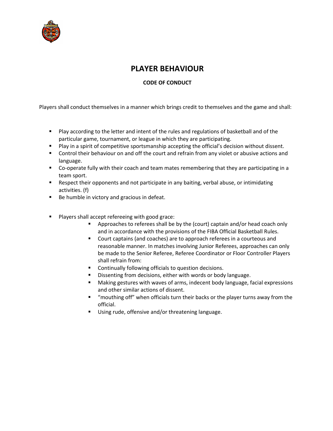

## **PLAYER BEHAVIOUR**

#### **CODE OF CONDUCT**

Players shall conduct themselves in a manner which brings credit to themselves and the game and shall:

- Play according to the letter and intent of the rules and regulations of basketball and of the particular game, tournament, or league in which they are participating.
- Play in a spirit of competitive sportsmanship accepting the official's decision without dissent.
- Control their behaviour on and off the court and refrain from any violet or abusive actions and language.
- Co-operate fully with their coach and team mates remembering that they are participating in a team sport.
- Respect their opponents and not participate in any baiting, verbal abuse, or intimidating activities. (f)
- Be humble in victory and gracious in defeat.
- Players shall accept refereeing with good grace:
	- Approaches to referees shall be by the (court) captain and/or head coach only and in accordance with the provisions of the FIBA Official Basketball Rules.
	- Court captains (and coaches) are to approach referees in a courteous and reasonable manner. In matches involving Junior Referees, approaches can only be made to the Senior Referee, Referee Coordinator or Floor Controller Players shall refrain from:
	- Continually following officials to question decisions.
	- Dissenting from decisions, either with words or body language.
	- Making gestures with waves of arms, indecent body language, facial expressions and other similar actions of dissent.
	- "mouthing off" when officials turn their backs or the player turns away from the official.
	- Using rude, offensive and/or threatening language.